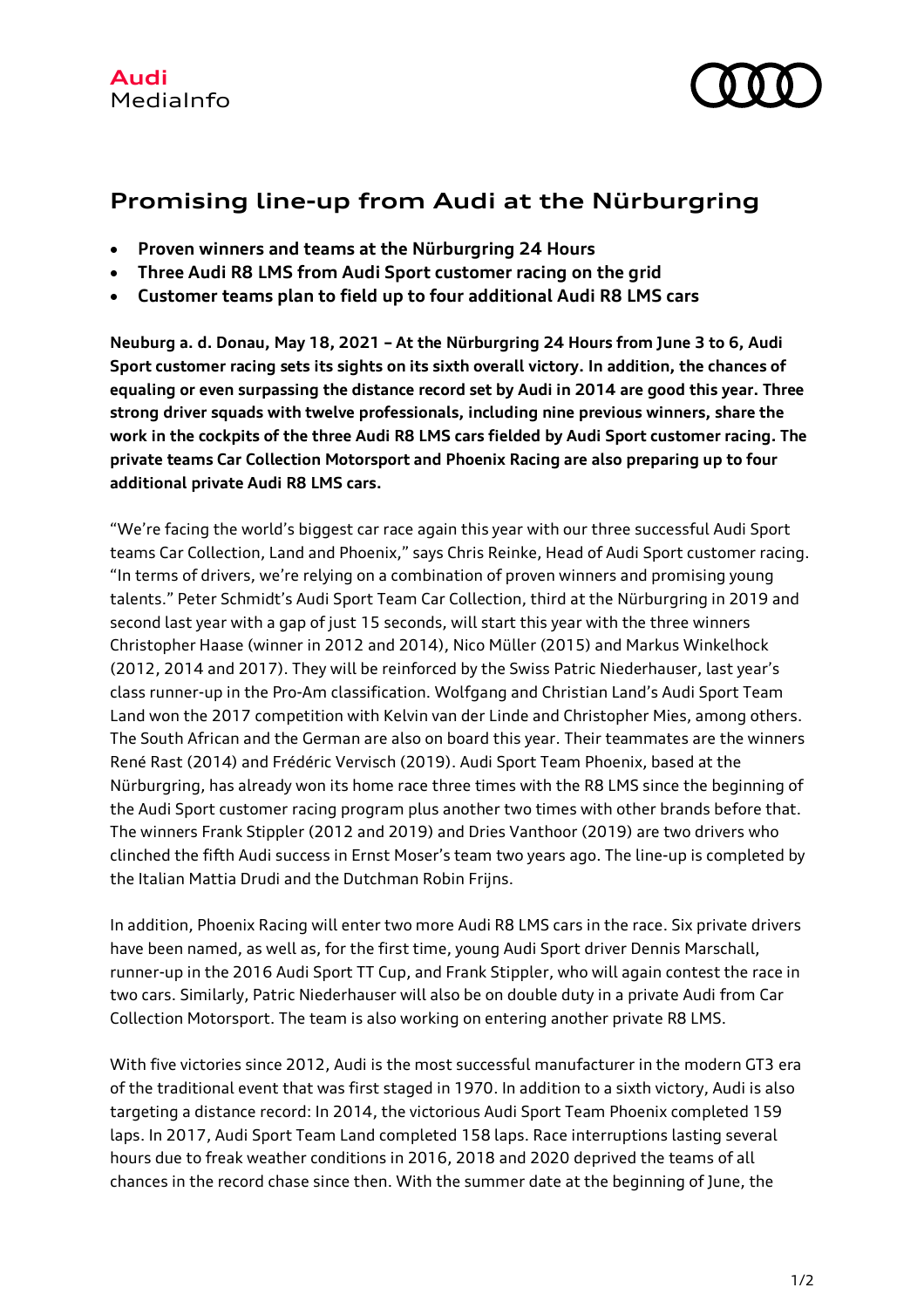

## **Promising line-up from Audi at the Nürburgring**

- **Proven winners and teams at the Nürburgring 24 Hours**
- **Three Audi R8 LMS from Audi Sport customer racing on the grid**
- **Customer teams plan to field up to four additional Audi R8 LMS cars**

**Neuburg a. d. Donau, May 18, 2021 – At the Nürburgring 24 Hours from June 3 to 6, Audi Sport customer racing sets its sights on its sixth overall victory. In addition, the chances of equaling or even surpassing the distance record set by Audi in 2014 are good this year. Three strong driver squads with twelve professionals, including nine previous winners, share the work in the cockpits of the three Audi R8 LMS cars fielded by Audi Sport customer racing. The private teams Car Collection Motorsport and Phoenix Racing are also preparing up to four additional private Audi R8 LMS cars.**

"We're facing the world's biggest car race again this year with our three successful Audi Sport teams Car Collection, Land and Phoenix," says Chris Reinke, Head of Audi Sport customer racing. "In terms of drivers, we're relying on a combination of proven winners and promising young talents." Peter Schmidt's Audi Sport Team Car Collection, third at the Nürburgring in 2019 and second last year with a gap of just 15 seconds, will start this year with the three winners Christopher Haase (winner in 2012 and 2014), Nico Müller (2015) and Markus Winkelhock (2012, 2014 and 2017). They will be reinforced by the Swiss Patric Niederhauser, last year's class runner-up in the Pro-Am classification. Wolfgang and Christian Land's Audi Sport Team Land won the 2017 competition with Kelvin van der Linde and Christopher Mies, among others. The South African and the German are also on board this year. Their teammates are the winners René Rast (2014) and Frédéric Vervisch (2019). Audi Sport Team Phoenix, based at the Nürburgring, has already won its home race three times with the R8 LMS since the beginning of the Audi Sport customer racing program plus another two times with other brands before that. The winners Frank Stippler (2012 and 2019) and Dries Vanthoor (2019) are two drivers who clinched the fifth Audi success in Ernst Moser's team two years ago. The line-up is completed by the Italian Mattia Drudi and the Dutchman Robin Frijns.

In addition, Phoenix Racing will enter two more Audi R8 LMS cars in the race. Six private drivers have been named, as well as, for the first time, young Audi Sport driver Dennis Marschall, runner-up in the 2016 Audi Sport TT Cup, and Frank Stippler, who will again contest the race in two cars. Similarly, Patric Niederhauser will also be on double duty in a private Audi from Car Collection Motorsport. The team is also working on entering another private R8 LMS.

With five victories since 2012, Audi is the most successful manufacturer in the modern GT3 era of the traditional event that was first staged in 1970. In addition to a sixth victory, Audi is also targeting a distance record: In 2014, the victorious Audi Sport Team Phoenix completed 159 laps. In 2017, Audi Sport Team Land completed 158 laps. Race interruptions lasting several hours due to freak weather conditions in 2016, 2018 and 2020 deprived the teams of all chances in the record chase since then. With the summer date at the beginning of June, the